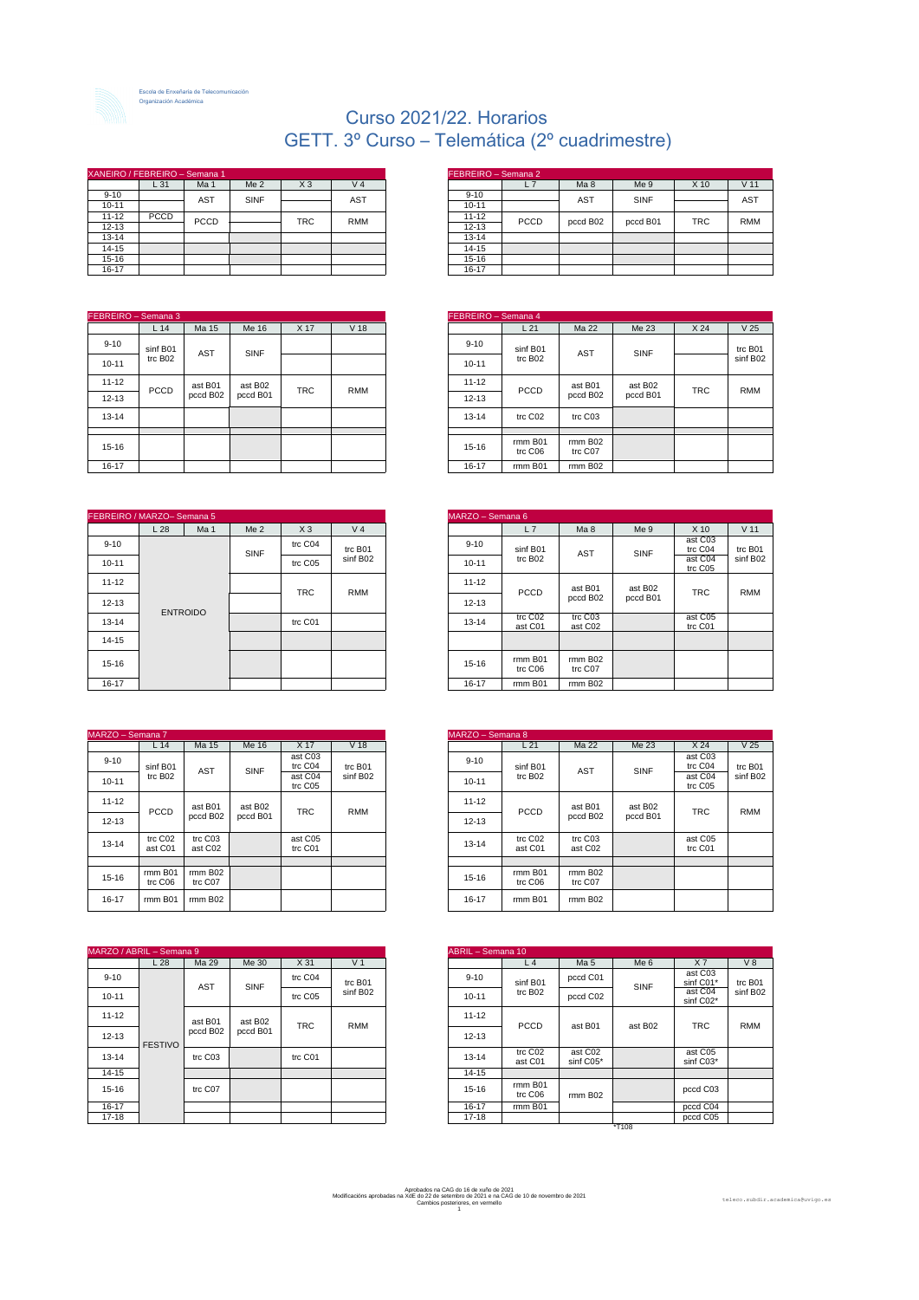

Escola de Enxeñaría de Telecomunicación Organización Académica

## Curso 2021/22. Horarios GETT. 3º Curso – Telemática (2º cuadrimestre)

| XANEIRO / FEBREIRO – Semana 1 |             |                 |                 |                |                | FEBREIRO - Semana 2 |             |
|-------------------------------|-------------|-----------------|-----------------|----------------|----------------|---------------------|-------------|
|                               | L31         | Ma <sub>1</sub> | Me <sub>2</sub> | X <sub>3</sub> | V <sub>4</sub> |                     | L7          |
| $9 - 10$                      |             | <b>AST</b>      | <b>SINF</b>     |                | <b>AST</b>     | $9 - 10$            |             |
| $10 - 11$                     |             |                 |                 |                |                | 10-11               |             |
| $11 - 12$                     | <b>PCCD</b> | PCCD            |                 | <b>TRC</b>     | <b>RMM</b>     | $11 - 12$           | <b>PCCD</b> |
| $12 - 13$                     |             |                 |                 |                |                | $12 - 13$           |             |
| $13 - 14$                     |             |                 |                 |                |                | 13-14               |             |
| 14-15                         |             |                 |                 |                |                | 14-15               |             |
| 15-16                         |             |                 |                 |                |                | 15-16               |             |
| 16-17                         |             |                 |                 |                |                | 16-17               |             |

| FEBREIRO - Semana 3 |                     |            |             |            |                 |
|---------------------|---------------------|------------|-------------|------------|-----------------|
|                     | L <sub>14</sub>     | Ma 15      | Me 16       | X 17       | V <sub>18</sub> |
| $9 - 10$            | sinf B01            | <b>AST</b> | <b>SINF</b> |            |                 |
| $10 - 11$           | trc B <sub>02</sub> |            |             |            |                 |
| $11 - 12$           | <b>PCCD</b>         | ast B01    | ast B02     | <b>TRC</b> | <b>RMM</b>      |
| $12 - 13$           |                     | pccd B02   | pccd B01    |            |                 |
| 13-14               |                     |            |             |            |                 |
|                     |                     |            |             |            |                 |
| 15-16               |                     |            |             |            |                 |
| 16-17               |                     |            |             |            |                 |

| FEBREIRO / MARZO- Semana 5 |     |                 |                 |                |                | MARZO - Semana 6 |                                |
|----------------------------|-----|-----------------|-----------------|----------------|----------------|------------------|--------------------------------|
|                            | L28 | Ma <sub>1</sub> | Me <sub>2</sub> | X <sub>3</sub> | V <sub>4</sub> |                  | L7                             |
| $9 - 10$                   |     |                 | <b>SINF</b>     | trc C04        | trc B01        | $9 - 10$         | sinf B01                       |
| $10 - 11$                  |     |                 |                 | trc C05        | sinf B02       | 10-11            | trc B <sub>02</sub>            |
| $11 - 12$                  |     |                 |                 |                |                | $11 - 12$        |                                |
| $12 - 13$                  |     |                 |                 | <b>TRC</b>     | <b>RMM</b>     | $12 - 13$        | PCCD                           |
| 13-14                      |     | <b>ENTROIDO</b> |                 | trc C01        |                | 13-14            | trc C <sub>02</sub><br>ast C01 |
| 14-15                      |     |                 |                 |                |                |                  |                                |
| 15-16                      |     |                 |                 |                |                | 15-16            | rmm B01<br>trc C06             |
| 16-17                      |     |                 |                 |                |                | 16-17            | rmm B01                        |

|           | MARZO - Semana 7    |                    |             |                    |                 |  |  |  |  |  |
|-----------|---------------------|--------------------|-------------|--------------------|-----------------|--|--|--|--|--|
|           | L <sub>14</sub>     | Ma 15              | Me 16       | X 17               | V <sub>18</sub> |  |  |  |  |  |
| $9 - 10$  | sinf B01            | <b>AST</b>         | <b>SINF</b> | ast C03<br>trc C04 | trc B01         |  |  |  |  |  |
| $10 - 11$ | trc B <sub>02</sub> |                    |             | ast C04<br>trc C05 | sinf B02        |  |  |  |  |  |
| $11 - 12$ |                     | ast B01            | ast B02     |                    |                 |  |  |  |  |  |
| $12 - 13$ | PCCD                | pccd B02           | pccd B01    | <b>TRC</b>         | <b>RMM</b>      |  |  |  |  |  |
| $13 - 14$ | trc C02<br>ast C01  | trc C03<br>ast C02 |             | ast C05<br>trc C01 |                 |  |  |  |  |  |
|           |                     |                    |             |                    |                 |  |  |  |  |  |
| 15-16     | rmm B01<br>trc C06  | rmm B02<br>trc C07 |             |                    |                 |  |  |  |  |  |
| 16-17     | rmm B01             | rmm B02            |             |                    |                 |  |  |  |  |  |

| MARZO / ABRIL - Semana 9 |                 |            |          |                 |                | ABRIL - Semana 10 |                     |                      |         |                      |
|--------------------------|-----------------|------------|----------|-----------------|----------------|-------------------|---------------------|----------------------|---------|----------------------|
|                          | L <sub>28</sub> | Ma 29      | Me 30    | X <sub>31</sub> | V <sub>1</sub> |                   | L <sub>4</sub>      | Ma <sub>5</sub>      | Me 6    | X <sub>7</sub>       |
| $9 - 10$                 |                 | <b>AST</b> | SINF     | trc C04         | trc B01        | $9 - 10$          | sinf B01            | pccd C01             | SINF    | ast C03<br>sinf C01* |
| $10 - 11$                |                 |            |          | trc C05         | sinf B02       | $10 - 11$         | trc B <sub>02</sub> | pccd C02             |         | ast C04<br>sinf C02* |
| $11 - 12$                |                 | ast B01    | ast B02  |                 |                | $11 - 12$         |                     |                      |         |                      |
| $12 - 13$                | <b>FESTIVO</b>  | pccd B02   | pccd B01 | <b>TRC</b>      | <b>RMM</b>     | $12 - 13$         | <b>PCCD</b>         | ast B01              | ast B02 | <b>TRC</b>           |
| 13-14                    |                 | trc C03    |          | trc C01         |                | 13-14             | trc C02<br>ast C01  | ast C02<br>sinf C05* |         | ast C05<br>sinf C03* |
| $14 - 15$                |                 |            |          |                 |                | 14-15             |                     |                      |         |                      |
| 15-16                    |                 | trc C07    |          |                 |                | 15-16             | rmm B01<br>trc C06  | rmm B02              |         | pccd C03             |
| 16-17                    |                 |            |          |                 |                | 16-17             | rmm B01             |                      |         | pccd C04             |
| 17-18                    |                 |            |          |                 |                | 17-18             |                     |                      |         | pccd C05             |

|           | NEIRO / FEBREIRO – Semana 1 |            |                 |                |                |      | TFEBREIRO – Semana Z |                 |          |            |  |
|-----------|-----------------------------|------------|-----------------|----------------|----------------|------|----------------------|-----------------|----------|------------|--|
|           | L31                         | Ma 1       | Me <sub>2</sub> | X <sub>3</sub> | V <sub>4</sub> | L7   |                      | Ma <sub>8</sub> | Me 9     | $X$ 10     |  |
| $9 - 10$  |                             | <b>AST</b> | <b>SINF</b>     |                | <b>AST</b>     |      | $9 - 10$             | <b>AST</b>      | SINF     |            |  |
| $10 - 11$ |                             |            |                 |                |                |      | $10 - 11$            |                 |          |            |  |
| 11-12     | PCCD                        | PCCD       |                 | <b>TRC</b>     | <b>RMM</b>     | PCCD | $11 - 12$            | pccd B02        | pccd B01 | <b>TRC</b> |  |
| 12-13     |                             |            |                 |                |                |      | $12 - 13$            |                 |          |            |  |
| 13-14     |                             |            |                 |                |                |      | 13-14                |                 |          |            |  |
| 14-15     |                             |            |                 |                |                |      | 14-15                |                 |          |            |  |
| 15-16     |                             |            |                 |                |                |      | 15-16                |                 |          |            |  |
| 16-17     |                             |            |                 |                |                |      | 16-17                |                 |          |            |  |

| mana 3          |                      |            |      |                 |           | FEBREIRO - Semana 4 |                    |         |                 |                 |
|-----------------|----------------------|------------|------|-----------------|-----------|---------------------|--------------------|---------|-----------------|-----------------|
| L <sub>14</sub> | Ma 15                | Me 16      | X 17 | V <sub>18</sub> |           | L <sub>21</sub>     | Ma 22              | Me 23   | X <sub>24</sub> | V <sub>25</sub> |
| nf B01          | <b>AST</b>           | SINF       |      |                 | $9 - 10$  | sinf B01            | AST                | SINF    |                 | trc B01         |
| c B02           |                      |            |      |                 | $10 - 11$ | trc B <sub>02</sub> |                    |         |                 | sinf B02        |
| <b>CCD</b>      | ast B01              | ast B02    |      | <b>RMM</b>      | $11 - 12$ | <b>PCCD</b>         | ast B01            | ast B02 | <b>TRC</b>      | <b>RMM</b>      |
|                 | pccd B02<br>pccd B01 | <b>TRC</b> |      | 12-13           |           | pccd B02            | pccd B01           |         |                 |                 |
|                 |                      |            |      |                 | 13-14     | trc C02             | trc C03            |         |                 |                 |
|                 |                      |            |      |                 |           |                     |                    |         |                 |                 |
|                 |                      |            |      |                 | 15-16     | rmm B01<br>trc C06  | rmm B02<br>trc C07 |         |                 |                 |
|                 |                      |            |      |                 | 16-17     | rmm B01             | rmm B02            |         |                 |                 |

|                 | RZO-Semana 5    |                 |                |                | MARZO - Semana 6 |                    |                      |          |                    |  |
|-----------------|-----------------|-----------------|----------------|----------------|------------------|--------------------|----------------------|----------|--------------------|--|
| L 28            | Ma <sub>1</sub> | Me <sub>2</sub> | X <sub>3</sub> | V <sub>4</sub> |                  | L7                 | Ma <sub>8</sub>      | Me 9     | $X$ 10             |  |
|                 |                 | SINF            | trc C04        | trc B01        | $9 - 10$         | sinf B01           | AST                  | SINF     | ast C03<br>trc C04 |  |
|                 |                 |                 | trc C05        | sinf B02       | 10-11            | trc B02            |                      |          | ast C04<br>trc C05 |  |
|                 |                 |                 |                |                | 11-12            | PCCD               | ast B01              | ast B02  |                    |  |
|                 |                 |                 | <b>TRC</b>     | RMM            | $12 - 13$        |                    | pccd B02             | pccd B01 | <b>TRC</b>         |  |
| <b>ENTROIDO</b> |                 |                 | trc C01        |                | 13-14            | trc C02<br>ast C01 | trc C03<br>ast C02   |          | ast C05<br>trc C01 |  |
|                 |                 |                 |                |                |                  |                    |                      |          |                    |  |
|                 |                 |                 |                |                | 15-16            | rmm B01<br>trc C06 | $rmm$ BO2<br>trc C07 |          |                    |  |
|                 |                 |                 |                |                | 16-17            | rmm B01            | $rmm$ BO2            |          |                    |  |

| 1a 7            |                    |          |                    |                 | MARZO - Semana 8 |                                |                    |          |                    |                 |
|-----------------|--------------------|----------|--------------------|-----------------|------------------|--------------------------------|--------------------|----------|--------------------|-----------------|
| L14             | Ma 15              | Me 16    | X 17               | V <sub>18</sub> |                  | L21                            | Ma 22              | Me 23    | X <sub>24</sub>    | V <sub>25</sub> |
| nf B01          | <b>AST</b>         | SINF     | ast C03<br>trc C04 | trc B01         | $9 - 10$         | sinf B01                       | AST                | SINF     | ast C03<br>trc C04 | trc B01         |
| c B02           |                    |          | ast C04<br>trc C05 | sinf B02        | 10-11            | trc B <sub>02</sub>            |                    |          | ast C04<br>trc C05 | sinf B02        |
| <b>CCD</b>      | ast B01            | ast B02  | <b>TRC</b>         | <b>RMM</b>      | 11-12            | <b>PCCD</b>                    | ast B01            | ast B02  | <b>TRC</b>         | <b>RMM</b>      |
|                 | pccd B02           | pccd B01 |                    |                 | 12-13            |                                | pccd B02           | pccd B01 |                    |                 |
| c C02<br>st C01 | trc C03<br>ast C02 |          | ast C05<br>trc C01 |                 | 13-14            | trc C <sub>02</sub><br>ast C01 | trc C03<br>ast C02 |          | ast C05<br>trc C01 |                 |
|                 |                    |          |                    |                 |                  |                                |                    |          |                    |                 |
| m B01<br>c C06  | rmm B02<br>trc C07 |          |                    |                 | 15-16            | rmm B01<br>trc C06             | rmm B02<br>trc C07 |          |                    |                 |
| m B01           | rmm B02            |          |                    |                 | 16-17            | rmm B01                        | rmm B02            |          |                    |                 |
|                 |                    |          |                    |                 |                  |                                |                    |          |                    |                 |

| – Semana 9   |            |          |            |                | <b>ABRIL</b> - Semana 10 |                     |                      |                 |                      |            |  |  |
|--------------|------------|----------|------------|----------------|--------------------------|---------------------|----------------------|-----------------|----------------------|------------|--|--|
| L28          | Ma 29      | Me 30    | X 31       | V <sub>1</sub> |                          | L <sub>4</sub>      | Ma <sub>5</sub>      | Me <sub>6</sub> | X <sub>7</sub>       | V8         |  |  |
|              | <b>AST</b> | SINF     | trc C04    | trc B01        | $9 - 10$                 | sinf B01            | pccd C01             | SINF            | ast C03<br>sinf C01* | trc B01    |  |  |
|              |            |          | trc C05    | sinf B02       | $10 - 11$                | trc B <sub>02</sub> | pccd C02             |                 | ast C04<br>sinf C02* | sinf B02   |  |  |
|              | ast B01    | ast B02  | <b>TRC</b> |                | 11-12                    |                     |                      |                 | <b>TRC</b>           | <b>RMM</b> |  |  |
| <b>STIVO</b> | pccd B02   | pccd B01 |            |                |                          | <b>RMM</b>          | 12-13                | <b>PCCD</b>     | ast B01              | ast B02    |  |  |
|              | trc C03    |          | trc C01    |                | 13-14                    | trc C02<br>ast C01  | ast C02<br>sinf C05* |                 | ast C05<br>sinf C03* |            |  |  |
|              |            |          |            |                | 14-15                    |                     |                      |                 |                      |            |  |  |
|              | trc C07    |          |            |                | 15-16                    | rmm B01<br>trc C06  | rmm B02              |                 | pccd C03             |            |  |  |
|              |            |          |            |                | 16-17                    | rmm B01             |                      |                 | pccd C04             |            |  |  |
|              |            |          |            |                | 17-18                    |                     |                      |                 | pccd C05             |            |  |  |
|              |            |          |            |                |                          |                     |                      | $*T108$         |                      |            |  |  |

Aprobados na CAG do 16 de xuño de 2021 Modificacións aprobadas na XdE do 22 de setembro de 2021 e na CAG de 10 de novembro de 2021 Cambios posteriores, en vermello 1